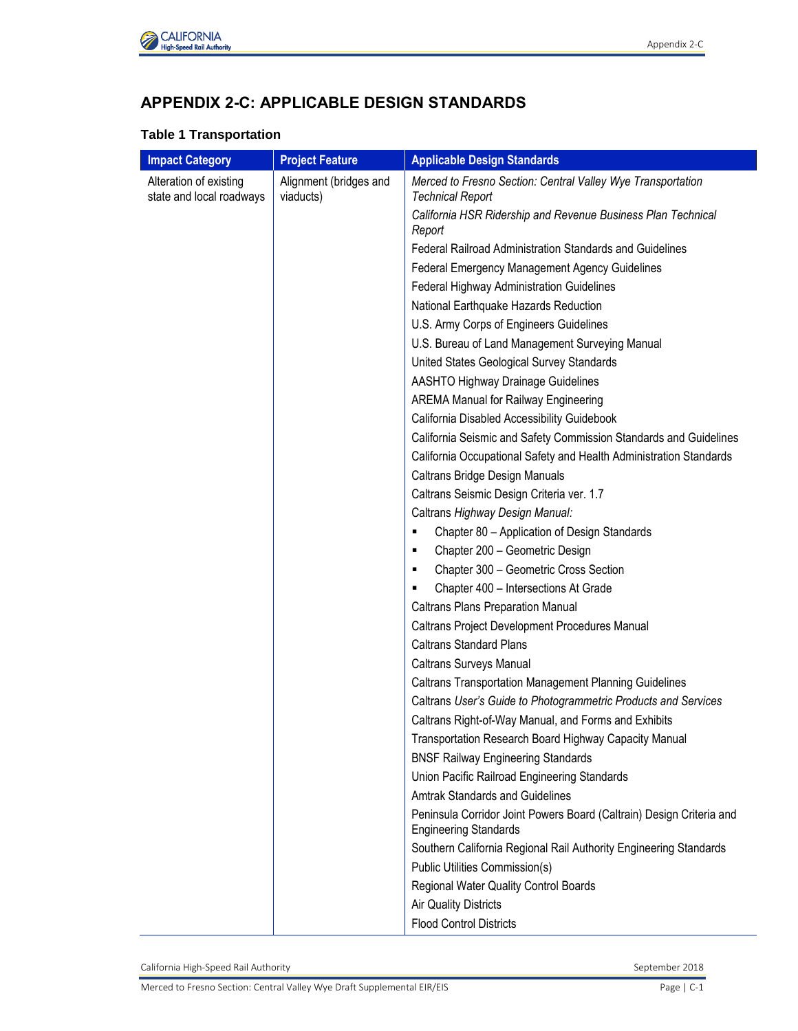

# **APPENDIX 2-C: APPLICABLE DESIGN STANDARDS**

#### **Table 1 Transportation**

| <b>Impact Category</b>                             | <b>Project Feature</b>              | <b>Applicable Design Standards</b>                                                                   |
|----------------------------------------------------|-------------------------------------|------------------------------------------------------------------------------------------------------|
| Alteration of existing<br>state and local roadways | Alignment (bridges and<br>viaducts) | Merced to Fresno Section: Central Valley Wye Transportation<br><b>Technical Report</b>               |
|                                                    |                                     | California HSR Ridership and Revenue Business Plan Technical<br>Report                               |
|                                                    |                                     | Federal Railroad Administration Standards and Guidelines                                             |
|                                                    |                                     | Federal Emergency Management Agency Guidelines                                                       |
|                                                    |                                     | Federal Highway Administration Guidelines                                                            |
|                                                    |                                     | National Earthquake Hazards Reduction                                                                |
|                                                    |                                     | U.S. Army Corps of Engineers Guidelines                                                              |
|                                                    |                                     | U.S. Bureau of Land Management Surveying Manual                                                      |
|                                                    |                                     | United States Geological Survey Standards                                                            |
|                                                    |                                     | <b>AASHTO Highway Drainage Guidelines</b>                                                            |
|                                                    |                                     | <b>AREMA Manual for Railway Engineering</b>                                                          |
|                                                    |                                     | California Disabled Accessibility Guidebook                                                          |
|                                                    |                                     | California Seismic and Safety Commission Standards and Guidelines                                    |
|                                                    |                                     | California Occupational Safety and Health Administration Standards                                   |
|                                                    |                                     | Caltrans Bridge Design Manuals                                                                       |
|                                                    |                                     | Caltrans Seismic Design Criteria ver. 1.7                                                            |
|                                                    |                                     | Caltrans Highway Design Manual:                                                                      |
|                                                    |                                     | Chapter 80 - Application of Design Standards<br>٠                                                    |
|                                                    |                                     | Chapter 200 - Geometric Design<br>٠                                                                  |
|                                                    |                                     | Chapter 300 - Geometric Cross Section<br>٠                                                           |
|                                                    |                                     | Chapter 400 - Intersections At Grade<br>٠                                                            |
|                                                    |                                     | <b>Caltrans Plans Preparation Manual</b>                                                             |
|                                                    |                                     | Caltrans Project Development Procedures Manual                                                       |
|                                                    |                                     | <b>Caltrans Standard Plans</b>                                                                       |
|                                                    |                                     | Caltrans Surveys Manual                                                                              |
|                                                    |                                     | <b>Caltrans Transportation Management Planning Guidelines</b>                                        |
|                                                    |                                     | Caltrans User's Guide to Photogrammetric Products and Services                                       |
|                                                    |                                     | Caltrans Right-of-Way Manual, and Forms and Exhibits                                                 |
|                                                    |                                     | Transportation Research Board Highway Capacity Manual                                                |
|                                                    |                                     | <b>BNSF Railway Engineering Standards</b>                                                            |
|                                                    |                                     | Union Pacific Railroad Engineering Standards                                                         |
|                                                    |                                     | <b>Amtrak Standards and Guidelines</b>                                                               |
|                                                    |                                     | Peninsula Corridor Joint Powers Board (Caltrain) Design Criteria and<br><b>Engineering Standards</b> |
|                                                    |                                     | Southern California Regional Rail Authority Engineering Standards                                    |
|                                                    |                                     | Public Utilities Commission(s)                                                                       |
|                                                    |                                     | Regional Water Quality Control Boards                                                                |
|                                                    |                                     | <b>Air Quality Districts</b>                                                                         |
|                                                    |                                     | <b>Flood Control Districts</b>                                                                       |

California High-Speed Rail Authority **September 2018** September 2018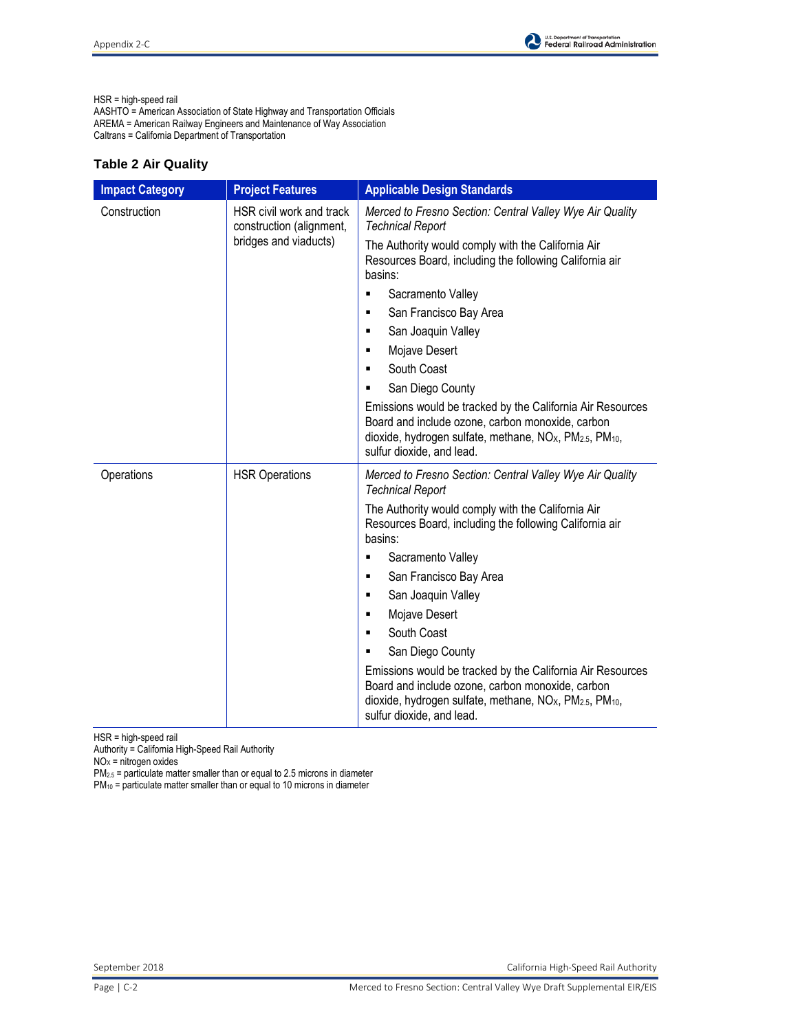

HSR = high-speed rail

AASHTO = American Association of State Highway and Transportation Officials AREMA = American Railway Engineers and Maintenance of Way Association Caltrans = California Department of Transportation

### **Table 2 Air Quality**

| <b>Impact Category</b> | <b>Project Features</b>                                                       | <b>Applicable Design Standards</b>                                                                                                                                                                                                          |
|------------------------|-------------------------------------------------------------------------------|---------------------------------------------------------------------------------------------------------------------------------------------------------------------------------------------------------------------------------------------|
| Construction           | HSR civil work and track<br>construction (alignment,<br>bridges and viaducts) | Merced to Fresno Section: Central Valley Wye Air Quality<br><b>Technical Report</b>                                                                                                                                                         |
|                        |                                                                               | The Authority would comply with the California Air<br>Resources Board, including the following California air<br>basins:                                                                                                                    |
|                        |                                                                               | Sacramento Valley<br>٠                                                                                                                                                                                                                      |
|                        |                                                                               | San Francisco Bay Area<br>٠                                                                                                                                                                                                                 |
|                        |                                                                               | San Joaquin Valley<br>٠                                                                                                                                                                                                                     |
|                        |                                                                               | Mojave Desert<br>٠                                                                                                                                                                                                                          |
|                        |                                                                               | South Coast<br>٠                                                                                                                                                                                                                            |
|                        |                                                                               | San Diego County<br>٠                                                                                                                                                                                                                       |
|                        |                                                                               | Emissions would be tracked by the California Air Resources<br>Board and include ozone, carbon monoxide, carbon<br>dioxide, hydrogen sulfate, methane, NO <sub>x</sub> , PM <sub>2.5</sub> , PM <sub>10</sub> ,<br>sulfur dioxide, and lead. |
| Operations             | <b>HSR Operations</b>                                                         | Merced to Fresno Section: Central Valley Wye Air Quality<br><b>Technical Report</b>                                                                                                                                                         |
|                        |                                                                               | The Authority would comply with the California Air<br>Resources Board, including the following California air<br>basins:                                                                                                                    |
|                        |                                                                               | Sacramento Valley<br>٠                                                                                                                                                                                                                      |
|                        |                                                                               | San Francisco Bay Area<br>٠                                                                                                                                                                                                                 |
|                        |                                                                               | San Joaquin Valley<br>٠                                                                                                                                                                                                                     |
|                        |                                                                               | Mojave Desert<br>٠                                                                                                                                                                                                                          |
|                        |                                                                               | South Coast<br>$\blacksquare$                                                                                                                                                                                                               |
|                        |                                                                               | San Diego County<br>٠                                                                                                                                                                                                                       |
|                        |                                                                               | Emissions would be tracked by the California Air Resources<br>Board and include ozone, carbon monoxide, carbon<br>dioxide, hydrogen sulfate, methane, NO <sub>X</sub> , PM <sub>2.5</sub> , PM <sub>10</sub> ,<br>sulfur dioxide, and lead. |

HSR = high-speed rail

Authority = California High-Speed Rail Authority

 $NO<sub>x</sub>$  = nitrogen oxides

 $PM_{2.5}$  = particulate matter smaller than or equal to 2.5 microns in diameter

 $PM_{10}$  = particulate matter smaller than or equal to 10 microns in diameter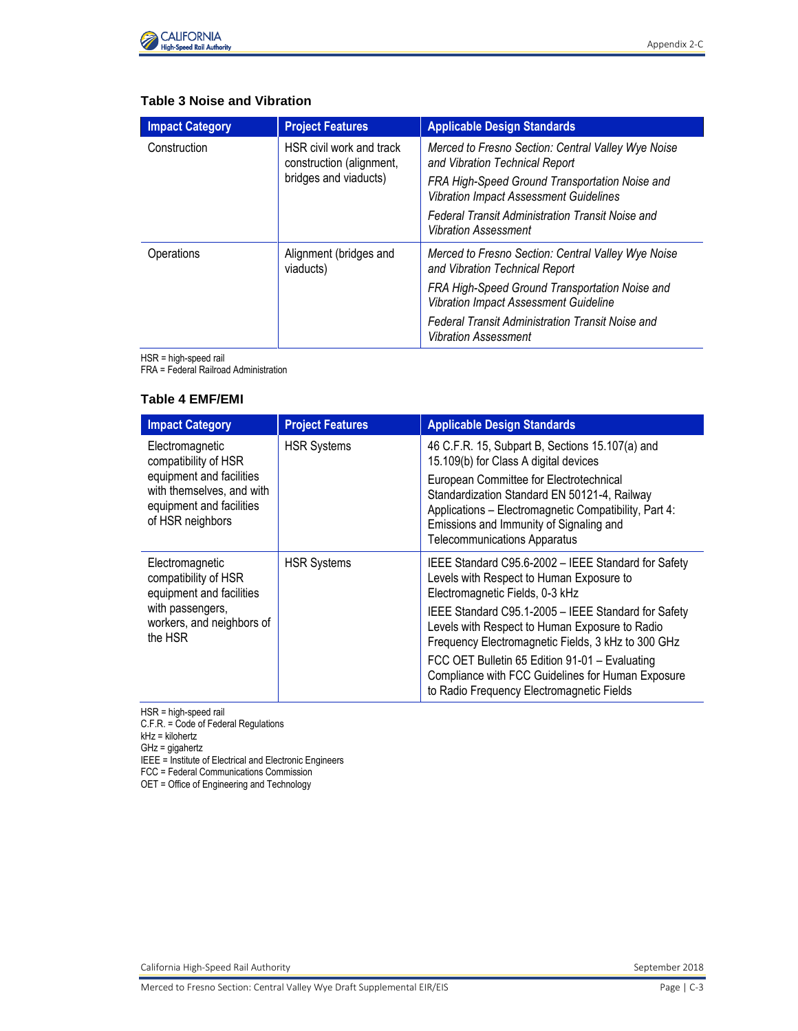

## **Table 3 Noise and Vibration**

| <b>Impact Category</b> | <b>Project Features</b>                              | <b>Applicable Design Standards</b>                                                              |
|------------------------|------------------------------------------------------|-------------------------------------------------------------------------------------------------|
| Construction           | HSR civil work and track<br>construction (alignment, | Merced to Fresno Section: Central Valley Wye Noise<br>and Vibration Technical Report            |
|                        | bridges and viaducts)                                | FRA High-Speed Ground Transportation Noise and<br><b>Vibration Impact Assessment Guidelines</b> |
|                        |                                                      | Federal Transit Administration Transit Noise and<br>Vibration Assessment                        |
| Operations             | Alignment (bridges and<br>viaducts)                  | Merced to Fresno Section: Central Valley Wye Noise<br>and Vibration Technical Report            |
|                        |                                                      | FRA High-Speed Ground Transportation Noise and<br><b>Vibration Impact Assessment Guideline</b>  |
|                        |                                                      | Federal Transit Administration Transit Noise and<br><b>Vibration Assessment</b>                 |

HSR = high-speed rail

FRA = Federal Railroad Administration

#### **Table 4 EMF/EMI**

| <b>Impact Category</b>                                                                                                                           | <b>Project Features</b> | <b>Applicable Design Standards</b>                                                                                                                                                                                                                                                                                             |
|--------------------------------------------------------------------------------------------------------------------------------------------------|-------------------------|--------------------------------------------------------------------------------------------------------------------------------------------------------------------------------------------------------------------------------------------------------------------------------------------------------------------------------|
| Electromagnetic<br>compatibility of HSR<br>equipment and facilities<br>with themselves, and with<br>equipment and facilities<br>of HSR neighbors | <b>HSR Systems</b>      | 46 C.F.R. 15, Subpart B, Sections 15.107(a) and<br>15.109(b) for Class A digital devices<br>European Committee for Electrotechnical<br>Standardization Standard EN 50121-4, Railway<br>Applications - Electromagnetic Compatibility, Part 4:<br>Emissions and Immunity of Signaling and<br><b>Telecommunications Apparatus</b> |
| Electromagnetic<br>compatibility of HSR<br>equipment and facilities                                                                              | <b>HSR Systems</b>      | IEEE Standard C95.6-2002 - IEEE Standard for Safety<br>Levels with Respect to Human Exposure to<br>Electromagnetic Fields, 0-3 kHz                                                                                                                                                                                             |
| with passengers,<br>workers, and neighbors of<br>the HSR                                                                                         |                         | IEEE Standard C95.1-2005 - IEEE Standard for Safety<br>Levels with Respect to Human Exposure to Radio<br>Frequency Electromagnetic Fields, 3 kHz to 300 GHz                                                                                                                                                                    |
|                                                                                                                                                  |                         | FCC OET Bulletin 65 Edition 91-01 - Evaluating<br>Compliance with FCC Guidelines for Human Exposure<br>to Radio Frequency Electromagnetic Fields                                                                                                                                                                               |

HSR = high-speed rail

C.F.R. = Code of Federal Regulations

kHz = kilohertz

GHz = gigahertz

IEEE = Institute of Electrical and Electronic Engineers

FCC = Federal Communications Commission

OET = Office of Engineering and Technology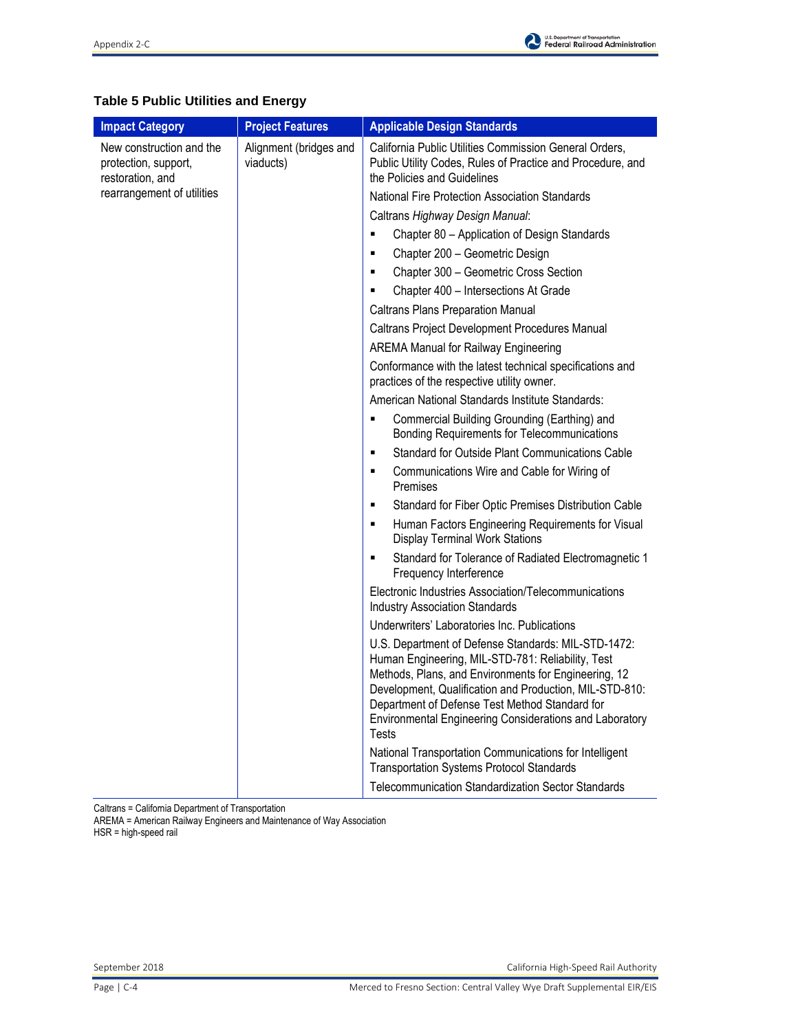# **Table 5 Public Utilities and Energy**

| <b>Impact Category</b>                                               | <b>Project Features</b>             | <b>Applicable Design Standards</b>                                                                                                                                                                                                                                                                                                                       |
|----------------------------------------------------------------------|-------------------------------------|----------------------------------------------------------------------------------------------------------------------------------------------------------------------------------------------------------------------------------------------------------------------------------------------------------------------------------------------------------|
| New construction and the<br>protection, support,<br>restoration, and | Alignment (bridges and<br>viaducts) | California Public Utilities Commission General Orders,<br>Public Utility Codes, Rules of Practice and Procedure, and<br>the Policies and Guidelines                                                                                                                                                                                                      |
| rearrangement of utilities                                           |                                     | National Fire Protection Association Standards                                                                                                                                                                                                                                                                                                           |
|                                                                      |                                     | Caltrans Highway Design Manual:                                                                                                                                                                                                                                                                                                                          |
|                                                                      |                                     | Chapter 80 - Application of Design Standards<br>٠                                                                                                                                                                                                                                                                                                        |
|                                                                      |                                     | Chapter 200 - Geometric Design<br>٠                                                                                                                                                                                                                                                                                                                      |
|                                                                      |                                     | Chapter 300 - Geometric Cross Section<br>٠                                                                                                                                                                                                                                                                                                               |
|                                                                      |                                     | Chapter 400 - Intersections At Grade<br>٠                                                                                                                                                                                                                                                                                                                |
|                                                                      |                                     | <b>Caltrans Plans Preparation Manual</b>                                                                                                                                                                                                                                                                                                                 |
|                                                                      |                                     | Caltrans Project Development Procedures Manual                                                                                                                                                                                                                                                                                                           |
|                                                                      |                                     | <b>AREMA Manual for Railway Engineering</b>                                                                                                                                                                                                                                                                                                              |
|                                                                      |                                     | Conformance with the latest technical specifications and<br>practices of the respective utility owner.                                                                                                                                                                                                                                                   |
|                                                                      |                                     | American National Standards Institute Standards:                                                                                                                                                                                                                                                                                                         |
|                                                                      |                                     | Commercial Building Grounding (Earthing) and<br><b>Bonding Requirements for Telecommunications</b>                                                                                                                                                                                                                                                       |
|                                                                      |                                     | Standard for Outside Plant Communications Cable<br>٠                                                                                                                                                                                                                                                                                                     |
|                                                                      |                                     | Communications Wire and Cable for Wiring of<br>٠<br>Premises                                                                                                                                                                                                                                                                                             |
|                                                                      |                                     | Standard for Fiber Optic Premises Distribution Cable<br>٠                                                                                                                                                                                                                                                                                                |
|                                                                      |                                     | Human Factors Engineering Requirements for Visual<br>٠<br><b>Display Terminal Work Stations</b>                                                                                                                                                                                                                                                          |
|                                                                      |                                     | Standard for Tolerance of Radiated Electromagnetic 1<br>٠<br>Frequency Interference                                                                                                                                                                                                                                                                      |
|                                                                      |                                     | Electronic Industries Association/Telecommunications<br><b>Industry Association Standards</b>                                                                                                                                                                                                                                                            |
|                                                                      |                                     | Underwriters' Laboratories Inc. Publications                                                                                                                                                                                                                                                                                                             |
|                                                                      |                                     | U.S. Department of Defense Standards: MIL-STD-1472:<br>Human Engineering, MIL-STD-781: Reliability, Test<br>Methods, Plans, and Environments for Engineering, 12<br>Development, Qualification and Production, MIL-STD-810:<br>Department of Defense Test Method Standard for<br>Environmental Engineering Considerations and Laboratory<br><b>Tests</b> |
|                                                                      |                                     | National Transportation Communications for Intelligent<br><b>Transportation Systems Protocol Standards</b>                                                                                                                                                                                                                                               |
|                                                                      |                                     | <b>Telecommunication Standardization Sector Standards</b>                                                                                                                                                                                                                                                                                                |

Caltrans = California Department of Transportation

AREMA = American Railway Engineers and Maintenance of Way Association HSR = high-speed rail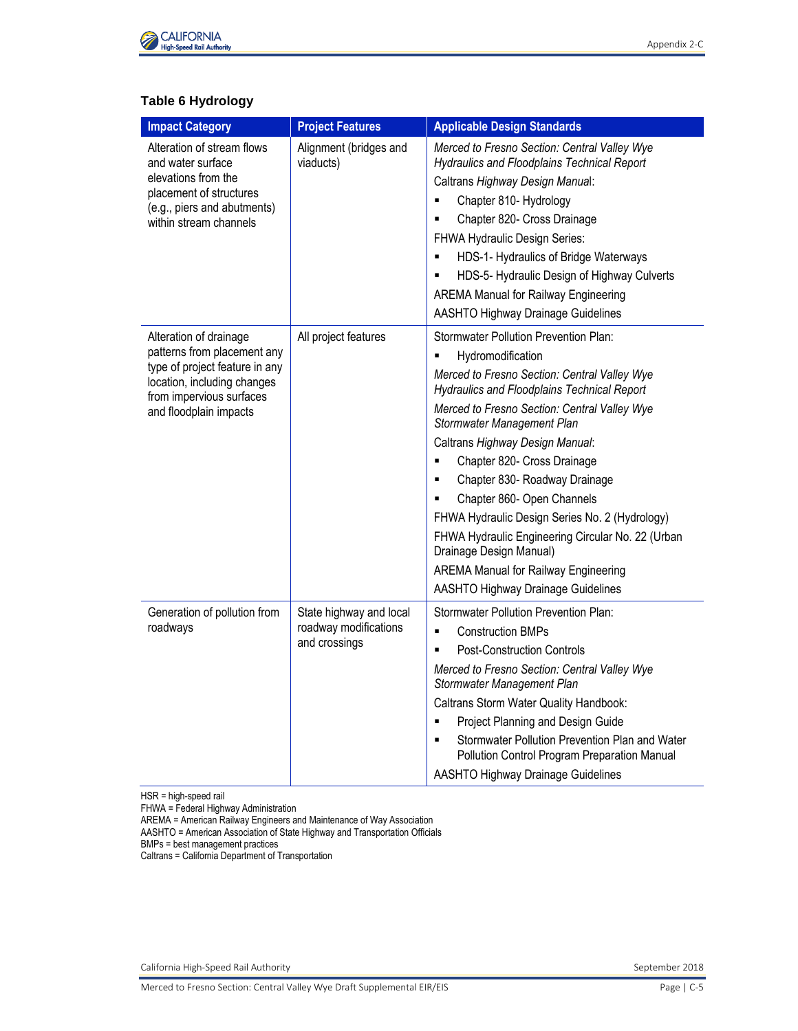

## **Table 6 Hydrology**

| <b>Impact Category</b>                                                                                                                                                       | <b>Project Features</b>                                           | <b>Applicable Design Standards</b>                                                                                                                                                                                                                                                                                                                                                                                                                                                                                                                                                                                      |
|------------------------------------------------------------------------------------------------------------------------------------------------------------------------------|-------------------------------------------------------------------|-------------------------------------------------------------------------------------------------------------------------------------------------------------------------------------------------------------------------------------------------------------------------------------------------------------------------------------------------------------------------------------------------------------------------------------------------------------------------------------------------------------------------------------------------------------------------------------------------------------------------|
| Alteration of stream flows<br>and water surface<br>elevations from the<br>placement of structures<br>(e.g., piers and abutments)<br>within stream channels                   | Alignment (bridges and<br>viaducts)                               | Merced to Fresno Section: Central Valley Wye<br><b>Hydraulics and Floodplains Technical Report</b><br>Caltrans Highway Design Manual:<br>Chapter 810- Hydrology<br>٠<br>Chapter 820- Cross Drainage<br>Ξ<br>FHWA Hydraulic Design Series:<br>HDS-1- Hydraulics of Bridge Waterways<br>٠<br>HDS-5- Hydraulic Design of Highway Culverts<br><b>AREMA Manual for Railway Engineering</b><br><b>AASHTO Highway Drainage Guidelines</b>                                                                                                                                                                                      |
| Alteration of drainage<br>patterns from placement any<br>type of project feature in any<br>location, including changes<br>from impervious surfaces<br>and floodplain impacts | All project features                                              | <b>Stormwater Pollution Prevention Plan:</b><br>Hydromodification<br>Merced to Fresno Section: Central Valley Wye<br>Hydraulics and Floodplains Technical Report<br>Merced to Fresno Section: Central Valley Wye<br>Stormwater Management Plan<br>Caltrans Highway Design Manual:<br>Chapter 820- Cross Drainage<br>Ξ<br>Chapter 830- Roadway Drainage<br>٠<br>Chapter 860- Open Channels<br>FHWA Hydraulic Design Series No. 2 (Hydrology)<br>FHWA Hydraulic Engineering Circular No. 22 (Urban<br>Drainage Design Manual)<br><b>AREMA Manual for Railway Engineering</b><br><b>AASHTO Highway Drainage Guidelines</b> |
| Generation of pollution from<br>roadways                                                                                                                                     | State highway and local<br>roadway modifications<br>and crossings | <b>Stormwater Pollution Prevention Plan:</b><br><b>Construction BMPs</b><br>×,<br><b>Post-Construction Controls</b><br>٠<br>Merced to Fresno Section: Central Valley Wye<br>Stormwater Management Plan<br>Caltrans Storm Water Quality Handbook:<br>Project Planning and Design Guide<br>٠<br>Stormwater Pollution Prevention Plan and Water<br>Pollution Control Program Preparation Manual<br><b>AASHTO Highway Drainage Guidelines</b>                                                                                                                                                                               |

HSR = high-speed rail

FHWA = Federal Highway Administration

AREMA = American Railway Engineers and Maintenance of Way Association

AASHTO = American Association of State Highway and Transportation Officials

BMPs = best management practices

Caltrans = California Department of Transportation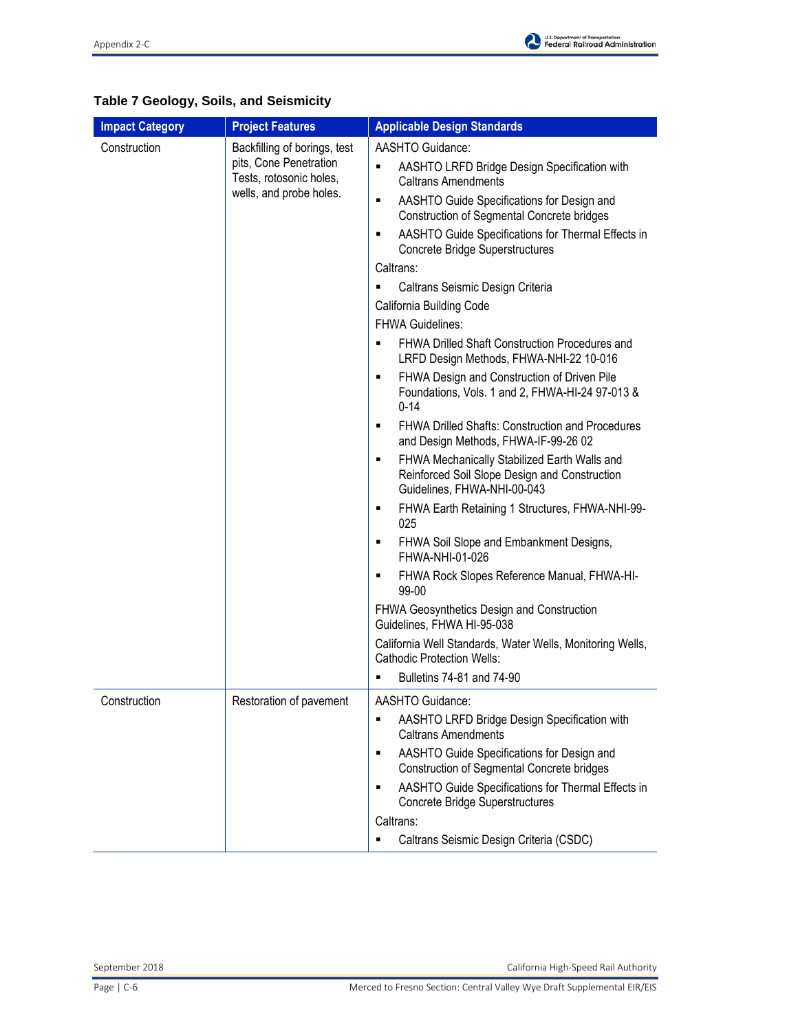| <b>Impact Category</b> | <b>Project Features</b>                                                                                      | <b>Applicable Design Standards</b>                                                                                                                                                                                                                                                                                                                                                                                                                                                                                                                                                                                                                                                                                                                                                                                                                                                                                                                                                                                                                                                                                                                                                                                                                             |
|------------------------|--------------------------------------------------------------------------------------------------------------|----------------------------------------------------------------------------------------------------------------------------------------------------------------------------------------------------------------------------------------------------------------------------------------------------------------------------------------------------------------------------------------------------------------------------------------------------------------------------------------------------------------------------------------------------------------------------------------------------------------------------------------------------------------------------------------------------------------------------------------------------------------------------------------------------------------------------------------------------------------------------------------------------------------------------------------------------------------------------------------------------------------------------------------------------------------------------------------------------------------------------------------------------------------------------------------------------------------------------------------------------------------|
| Construction           | Backfilling of borings, test<br>pits, Cone Penetration<br>Tests, rotosonic holes,<br>wells, and probe holes. | AASHTO Guidance:<br>AASHTO LRFD Bridge Design Specification with<br>٠<br><b>Caltrans Amendments</b><br>AASHTO Guide Specifications for Design and<br>٠<br><b>Construction of Segmental Concrete bridges</b><br>AASHTO Guide Specifications for Thermal Effects in<br>٠<br>Concrete Bridge Superstructures<br>Caltrans:<br>Caltrans Seismic Design Criteria<br>٠<br>California Building Code<br>FHWA Guidelines:<br>FHWA Drilled Shaft Construction Procedures and<br>٠<br>LRFD Design Methods, FHWA-NHI-22 10-016<br>FHWA Design and Construction of Driven Pile<br>٠<br>Foundations, Vols. 1 and 2, FHWA-HI-24 97-013 &<br>$0 - 14$<br><b>FHWA Drilled Shafts: Construction and Procedures</b><br>٠<br>and Design Methods, FHWA-IF-99-26 02<br>FHWA Mechanically Stabilized Earth Walls and<br>٠<br>Reinforced Soil Slope Design and Construction<br>Guidelines, FHWA-NHI-00-043<br>FHWA Earth Retaining 1 Structures, FHWA-NHI-99-<br>٠<br>025<br>FHWA Soil Slope and Embankment Designs,<br>٠<br>FHWA-NHI-01-026<br>FHWA Rock Slopes Reference Manual, FHWA-HI-<br>٠<br>99-00<br>FHWA Geosynthetics Design and Construction<br>Guidelines, FHWA HI-95-038<br>California Well Standards, Water Wells, Monitoring Wells,<br><b>Cathodic Protection Wells:</b> |
|                        |                                                                                                              | Bulletins 74-81 and 74-90<br>٠                                                                                                                                                                                                                                                                                                                                                                                                                                                                                                                                                                                                                                                                                                                                                                                                                                                                                                                                                                                                                                                                                                                                                                                                                                 |
| Construction           | Restoration of pavement                                                                                      | AASHTO Guidance:<br>AASHTO LRFD Bridge Design Specification with<br><b>Caltrans Amendments</b><br>AASHTO Guide Specifications for Design and<br>٠<br><b>Construction of Segmental Concrete bridges</b><br>AASHTO Guide Specifications for Thermal Effects in<br>٠<br><b>Concrete Bridge Superstructures</b><br>Caltrans:<br>Caltrans Seismic Design Criteria (CSDC)                                                                                                                                                                                                                                                                                                                                                                                                                                                                                                                                                                                                                                                                                                                                                                                                                                                                                            |

# **Table 7 Geology, Soils, and Seismicity**

September 2018 California High-Speed Rail Authority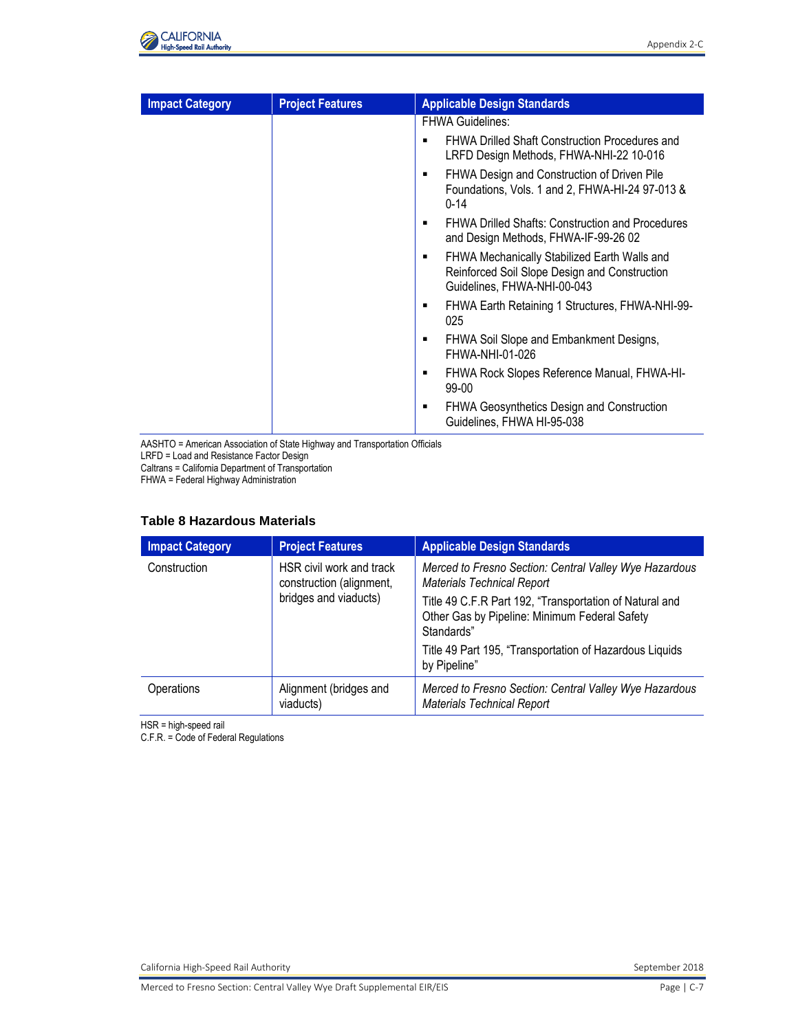

| <b>Impact Category</b> | <b>Project Features</b> | <b>Applicable Design Standards</b>                                                                                           |
|------------------------|-------------------------|------------------------------------------------------------------------------------------------------------------------------|
|                        |                         | <b>FHWA Guidelines:</b>                                                                                                      |
|                        |                         | FHWA Drilled Shaft Construction Procedures and<br>LRFD Design Methods, FHWA-NHI-22 10-016                                    |
|                        |                         | FHWA Design and Construction of Driven Pile<br>Foundations, Vols. 1 and 2, FHWA-HI-24 97-013 &<br>$0 - 14$                   |
|                        |                         | <b>FHWA Drilled Shafts: Construction and Procedures</b><br>and Design Methods, FHWA-IF-99-26 02                              |
|                        |                         | FHWA Mechanically Stabilized Earth Walls and<br>Reinforced Soil Slope Design and Construction<br>Guidelines, FHWA-NHI-00-043 |
|                        |                         | FHWA Earth Retaining 1 Structures, FHWA-NHI-99-<br>٠<br>025                                                                  |
|                        |                         | FHWA Soil Slope and Embankment Designs,<br>FHWA-NHI-01-026                                                                   |
|                        |                         | FHWA Rock Slopes Reference Manual, FHWA-HI-<br>٠<br>99-00                                                                    |
|                        |                         | <b>FHWA Geosynthetics Design and Construction</b><br>Guidelines, FHWA HI-95-038                                              |

AASHTO = American Association of State Highway and Transportation Officials LRFD = Load and Resistance Factor Design

Caltrans = California Department of Transportation FHWA = Federal Highway Administration

#### **Table 8 Hazardous Materials**

| <b>Impact Category</b>                                                                        | <b>Project Features</b>                                                                                                | <b>Applicable Design Standards</b>                                                          |
|-----------------------------------------------------------------------------------------------|------------------------------------------------------------------------------------------------------------------------|---------------------------------------------------------------------------------------------|
| HSR civil work and track<br>Construction<br>construction (alignment,<br>bridges and viaducts) |                                                                                                                        | Merced to Fresno Section: Central Valley Wye Hazardous<br><b>Materials Technical Report</b> |
|                                                                                               | Title 49 C.F.R Part 192, "Transportation of Natural and<br>Other Gas by Pipeline: Minimum Federal Safety<br>Standards" |                                                                                             |
|                                                                                               |                                                                                                                        | Title 49 Part 195, "Transportation of Hazardous Liquids<br>by Pipeline"                     |
| Operations                                                                                    | Alignment (bridges and<br>viaducts)                                                                                    | Merced to Fresno Section: Central Valley Wye Hazardous<br><b>Materials Technical Report</b> |

HSR = high-speed rail

C.F.R. = Code of Federal Regulations